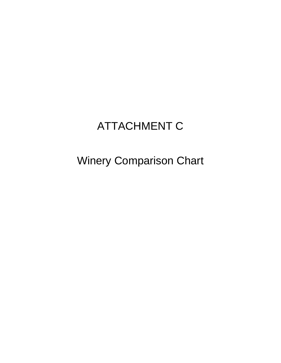## ATTACHMENT C

Winery Comparison Chart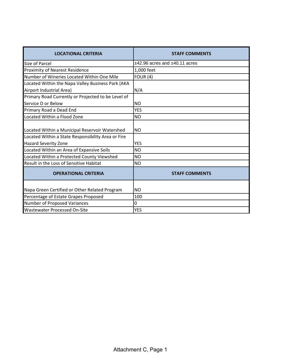| <b>LOCATIONAL CRITERIA</b>                                                                           | <b>STAFF COMMENTS</b>             |
|------------------------------------------------------------------------------------------------------|-----------------------------------|
| Size of Parcel                                                                                       | $±42.96$ acres and $±40.11$ acres |
| Proximity of Nearest Residence                                                                       | 1,000 feet                        |
| Number of Wineries Located Within One Mile                                                           | FOUR $(4)$                        |
| Located Within the Napa Valley Business Park (AKA                                                    |                                   |
| Airport Industrial Area)                                                                             | N/A                               |
| Primary Road Currently or Projected to be Level of                                                   |                                   |
| Service D or Below                                                                                   | <b>NO</b>                         |
| Primary Road a Dead End                                                                              | <b>YES</b>                        |
| Located Within a Flood Zone                                                                          | <b>NO</b>                         |
| Located Within a Municipal Reservoir Watershed<br>Located Within a State Responsibility Area or Fire | <b>NO</b>                         |
| <b>Hazard Severity Zone</b>                                                                          | <b>YES</b>                        |
| Located Within an Area of Expansive Soils                                                            | <b>NO</b>                         |
| Located Within a Protected County Viewshed                                                           | <b>NO</b>                         |
| <b>Result in the Loss of Sensitive Habitat</b>                                                       | <b>NO</b>                         |
| <b>OPERATIONAL CRITERIA</b>                                                                          | <b>STAFF COMMENTS</b>             |
| Napa Green Certified or Other Related Program                                                        | <b>NO</b>                         |
| Percentage of Estate Grapes Proposed                                                                 | 100                               |
| Number of Proposed Variances                                                                         | 0                                 |
| <b>Wastewater Processed On-Site</b>                                                                  | <b>YES</b>                        |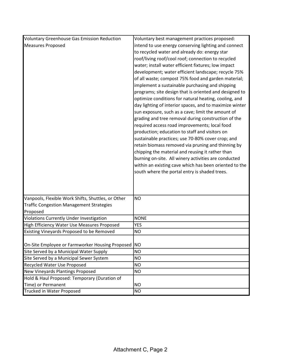| <b>Voluntary Greenhouse Gas Emission Reduction</b> | Voluntary best management practices proposed:           |
|----------------------------------------------------|---------------------------------------------------------|
| <b>Measures Proposed</b>                           | intend to use energy conserving lighting and connect    |
|                                                    | to recycled water and already do: energy star           |
|                                                    | roof/living roof/cool roof; connection to recycled      |
|                                                    | water; install water efficient fixtures; low impact     |
|                                                    | development; water efficient landscape; recycle 75%     |
|                                                    | of all waste; compost 75% food and garden material;     |
|                                                    | implement a sustainable purchasing and shipping         |
|                                                    | programs; site design that is oriented and designed to  |
|                                                    | optimize conditions for natural heating, cooling, and   |
|                                                    | day lighting of interior spaces, and to maximize winter |
|                                                    | sun exposure, such as a cave; limit the amount of       |
|                                                    | grading and tree removal during construction of the     |
|                                                    | required access road improvements; local food           |
|                                                    | production; education to staff and visitors on          |
|                                                    | sustainable practices; use 70-80% cover crop; and       |
|                                                    | retain biomass removed via pruning and thinning by      |
|                                                    | chipping the material and reusing it rather than        |
|                                                    | burning on-site. All winery activities are conducted    |
|                                                    | within an existing cave which has been oriented to the  |
|                                                    | south where the portal entry is shaded trees.           |
|                                                    |                                                         |
|                                                    |                                                         |
|                                                    |                                                         |
| Vanpools, Flexible Work Shifts, Shuttles, or Other | <b>NO</b>                                               |
| <b>Traffic Congestion Management Strategies</b>    |                                                         |
| Proposed                                           |                                                         |
| <b>Violations Currently Under Investigation</b>    | <b>NONE</b>                                             |
| High Efficiency Water Use Measures Proposed        | <b>YES</b>                                              |
| Existing Vineyards Proposed to be Removed          | <b>NO</b>                                               |
|                                                    |                                                         |
| On-Site Employee or Farmworker Housing Proposed    | <b>NO</b>                                               |
| Site Served by a Municipal Water Supply            | <b>NO</b>                                               |
| Site Served by a Municipal Sewer System            | <b>NO</b>                                               |
| Recycled Water Use Proposed                        | <b>NO</b>                                               |
| New Vineyards Plantings Proposed                   | <b>NO</b>                                               |
| Hold & Haul Proposed: Temporary (Duration of       |                                                         |
| Time) or Permanent                                 | <b>NO</b>                                               |
| <b>Trucked in Water Proposed</b>                   | <b>NO</b>                                               |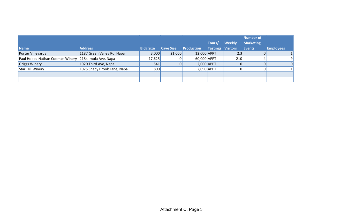| <b>Name</b>                                          | <b>Address</b>              | <b>Bldg Size</b> | <b>Cave Size</b> | <b>Production</b> | Tours/<br>Tastings Visitors | <b>Weekly</b> | <b>Number of</b><br><b>Marketing</b><br>Events | <b>Employees</b> |
|------------------------------------------------------|-----------------------------|------------------|------------------|-------------------|-----------------------------|---------------|------------------------------------------------|------------------|
| Porter Vineyards                                     | 1187 Green Valley Rd, Napa  | 3,000            | 21,000           | 12,000 APPT       |                             | 2.3           |                                                |                  |
| Paul Hobbs-Nathan Coombs Winery 2184 Imola Ave, Napa |                             | 17,625           |                  | 60,000 APPT       |                             | 210           |                                                |                  |
| Griggs Winery                                        | 1020 Third Ave, Napa        | 541              |                  | $2,000$ APPT      |                             |               |                                                | $\Omega$         |
| <b>Star Hill Winery</b>                              | 1075 Shady Brook Lane, Napa | 800              |                  | $2,090$ APPT      |                             |               |                                                |                  |
|                                                      |                             |                  |                  |                   |                             |               |                                                |                  |
|                                                      |                             |                  |                  |                   |                             |               |                                                |                  |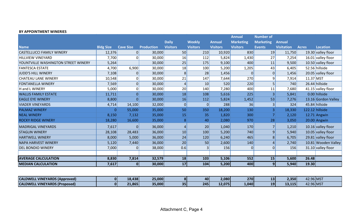## **BY APPOINTMENT WINERIES**

|                                     |                  |                  |                   |                 |                 |                 | <b>Annual</b>    | <b>Number of</b> |                   |                 |                      |
|-------------------------------------|------------------|------------------|-------------------|-----------------|-----------------|-----------------|------------------|------------------|-------------------|-----------------|----------------------|
|                                     |                  |                  |                   | <b>Daily</b>    | <b>Weekly</b>   | <b>Annual</b>   | <b>Marketing</b> | <b>Marketing</b> | <b>Annual</b>     |                 |                      |
| <b>Name</b>                         | <b>Bldg Size</b> | <b>Cave Size</b> | <b>Production</b> | <b>Visitors</b> | <b>Visitors</b> | <b>Visitors</b> | <b>Visitors</b>  | <b>Events</b>    | <b>Visitation</b> | <b>Acres</b>    | <b>Location</b>      |
| <b>CASTELLUCCI FAMILY WINERY</b>    | 12,376           | 0                | 30,000            | 50              | 210             | 10,920          | 830              | 19               | 11,750            |                 | 19.30 valley floor   |
| <b>HILLVIEW VINEYARD</b>            | 7,700            | $\Omega$         | 30,000            | 16              | 112             | 5,824           | 1,430            | 27               | 7,254             |                 | $16.01$ valley floor |
| YOUNTVILLE WASHINGTON STREET WINERY | 5,264            |                  | 30,000            | 25              | 175             | 9,100           | 400              | 11               | 9,500             |                 | 10.50 valley floor   |
| <b>FANTESCA ESTATE</b>              | 4,700            | 6,900            | 30,000            | 18              | 100             | 5,200           | 1,205            | 43               | 6,405             |                 | 52.56 hillside       |
| JUDD'S HILL WINERY                  | 7,108            | 0                | 30,000            | $\,8$           | 28              | 1,456           | 01               | 0                | 1,456             |                 | 20.05 valley floor   |
| <b>CHATEAU LANE WINERY</b>          | 10,548           | 0                | 30,000            | 21              | 147             | 7,644           | 270              | 9                | 7,914             | $11.37$ MST     |                      |
| <b>FONTANELLA WINERY</b>            | 7,569            | $\overline{0}$   | 30,000            | 4               | 10              | 520             | 220              |                  | 740               |                 | 26.44 hillside       |
| H and L WINERY                      | 5,000            | $\overline{0}$   | 30,000            | 20              | 140             | 7,280           | 400              | 11               | 7,680             |                 | 41.15 valley floor   |
| <b>WALLIS FAMILY ESTATE</b>         | 11,711           | $\overline{0}$   | 30,000            | 18              | 108             | 5,616           | 225              | 3                | 5,841             |                 | $0.00$  hillside     |
| <b>EAGLE EYE WINERY</b>             | 8,800            | $\overline{0}$   | 30,000            | 16              | 112             | 5,824           | 1,452            | 53               | 7,276             |                 | 13.16 Gordon Valley  |
| <b>VIADER VINEYARDS</b>             | 4,714            | 14,100           | 32,000            | $\pmb{0}$       | $\mathbf 0$     | 288             | 36               | 3                | 324               |                 | 45.84 hillside       |
| <b>PALMAZ WINERY</b>                | $\mathbf{0}$     | 55,000           | 35,000            | 50              | 350             | 18,200          | 130              | $\vert 3 \vert$  | 18,330            | 122.12 hillside |                      |
| <b>NEAL WINERY</b>                  | 8,150            | 7,132            | 35,000            | 15              | 35              | 1,820           | 300              | $\overline{7}$   | 2,120             |                 | 12.71 Angwin         |
| <b>ROCKY RIDGE WINERY</b>           | 18,280           | 16,600           | 35,000            | 8               | 40              | 2,080           | 970              | 28               | 3,050             |                 | 20.00 Angwin         |
| <b>MADRIGAL VINEYARDS</b>           | 7,617            | 0                | 36,000            | 4               | 20              | 1,040           | 170              |                  | 1,210             |                 | 10.16 valley floor   |
| <b>STAGLIN WINERY</b>               | 28,108           | 28,483           | 36,000            | 10              | 100             | 5,200           | 740              | 9                | 5,940             |                 | 10.05 valley floor   |
| <b>HARTWELL WINERY</b>              | 8,000            | 5,000            | 36,000            | 24              | 120             | 6,240           | 465              | 8                | 6,705             |                 | $29.81$ valley floor |
| <b>NAPA HARVEST WINERY</b>          | 5,120            | 7,440            | 36,000            | 20              | 50              | 2,600           | 140              |                  | 2,740             |                 | 10.81 Wooden Valley  |
| <b>DEL BONDIO WINERY</b>            | 7,000            | $\Omega$         | 38,000            | 0.6             |                 | 156             | 01               | 0                | 156               |                 | 31.10 valley floor   |
|                                     |                  |                  |                   |                 |                 |                 |                  |                  |                   |                 |                      |
| <b>AVERAGE CALCULATION</b>          | 8,830            | 7,814            | 32,579            | 18              | 103             | 5,106           | 552              | 15               | 5,600             | 26.48           |                      |
| <b>MEDIAN CALCULATION</b>           | 7,617            | 0                | 30,000            | 17              | 104             | 5,200           | 400              | 9 <sub>l</sub>   | 5,940             | 19.30           |                      |

| L VINEYARDS (Approved)<br><b>CALDWE</b> | $\overline{0}$ | 18,438<br>- 6 | 25,000 | $\mathbf{8}$ | 40  | 2,080  | 270   | --          | 2,350    | 42.96 MST |  |
|-----------------------------------------|----------------|---------------|--------|--------------|-----|--------|-------|-------------|----------|-----------|--|
| VINEYARDS (Proposed)<br><b>CALDWE</b>   | $\mathbf{0}$   | 21,865        | 35,000 | 35           | 245 | 12,075 | 1,040 | 1 Q I<br>-- | 115<br>. | 42.96 MST |  |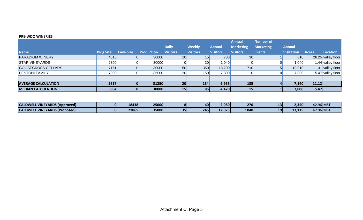## **PRE-WDO WINERIES**

|                            |                  |                  |                   |                 |                 |                 | <b>Annual</b>    | <b>Number of</b> |                   |              |                    |
|----------------------------|------------------|------------------|-------------------|-----------------|-----------------|-----------------|------------------|------------------|-------------------|--------------|--------------------|
|                            |                  |                  |                   | <b>Daily</b>    | <b>Weekly</b>   | <b>Annual</b>   | <b>Marketing</b> | <b>Marketing</b> | <b>Annual</b>     |              |                    |
| <b>Name</b>                | <b>Bldg Size</b> | <b>Cave Size</b> | <b>Production</b> | <b>Visitors</b> | <b>Visitors</b> | <b>Visitors</b> | <b>Visitors</b>  | <b>Events</b>    | <b>Visitation</b> | <b>Acres</b> | Location           |
| <b>PARADIGM WINERY</b>     | 4616             |                  | 30000             | 10              | 15              | 780             | 30 <sup>2</sup>  |                  | 810               |              | 26.25 valley floor |
| <b>STAR VINEYARDS</b>      | 2800             |                  | 30000             |                 | 20              | 1,040           | 01               |                  | 1,040             |              | 1.44 valley floor  |
| GOOSECROSS CELLARS         | 7151             |                  | 30000             | 50              | 350             | 18,200          | 710              | 15               | 18,910            |              | 11.31 valley floor |
| <b>PESTONI FAMILY</b>      | 7900             |                  | 35000             | 20              | 150             | 7,800           | 01               |                  | 7,800             |              | 5.47 valley floor  |
|                            |                  |                  |                   |                 |                 |                 |                  |                  |                   |              |                    |
| <b>AVERAGE CALCULATION</b> | 5617             |                  | 31250             | 20              | 134             | 6,955           | 185              |                  | 7,140             | 11.12        |                    |
| <b>IMEDIAN CALCULATION</b> | 5884             |                  | 30000             | 15              | 85              | 4,420           | 15               |                  | 7,800             | 5.47         |                    |

| <b>L VINEYARDS (Approved)</b><br><b>CALDWELI</b> | 18438 | 25000 |    | 40  | 2,080  | 270  | --              | 2,350    | 42.96 MST |  |
|--------------------------------------------------|-------|-------|----|-----|--------|------|-----------------|----------|-----------|--|
| <b>CALDWELL</b><br>L VINEYARDS (Proposed)        | 21865 | 35000 | 35 | 245 | 12,075 | 1040 | 19 <sup>°</sup> | 115<br>. | 42.96 MST |  |